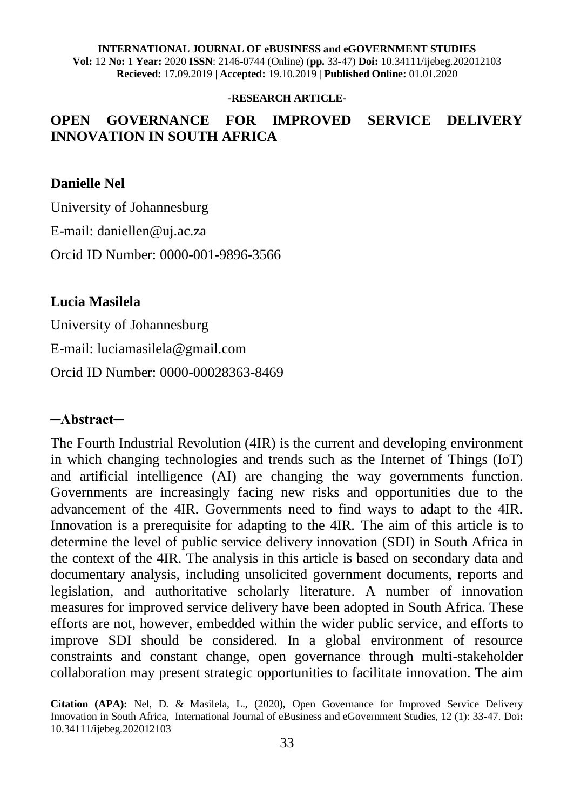#### **INTERNATIONAL JOURNAL OF eBUSINESS and eGOVERNMENT STUDIES**

**Vol:** 12 **No:** 1 **Year:** 2020 **ISSN**: 2146-0744 (Online) (**pp.** 33-47) **Doi:** 10.34111/ijebeg.202012103 **Recieved:** 17.09.2019 | **Accepted:** 19.10.2019 | **Published Online:** 01.01.2020

#### **-RESEARCH ARTICLE-**

#### **OPEN GOVERNANCE FOR IMPROVED SERVICE DELIVERY INNOVATION IN SOUTH AFRICA**

#### **Danielle Nel**

University of Johannesburg E-mail: daniellen@uj.ac.za Orcid ID Number: 0000-001-9896-3566

#### **Lucia Masilela**

University of Johannesburg

E-mail: luciamasilela@gmail.com

Orcid ID Number: 0000-00028363-8469

#### **─Abstract─**

The Fourth Industrial Revolution (4IR) is the current and developing environment in which changing technologies and trends such as the Internet of Things (IoT) and artificial intelligence (AI) are changing the way governments function. Governments are increasingly facing new risks and opportunities due to the advancement of the 4IR. Governments need to find ways to adapt to the 4IR. Innovation is a prerequisite for adapting to the 4IR. The aim of this article is to determine the level of public service delivery innovation (SDI) in South Africa in the context of the 4IR. The analysis in this article is based on secondary data and documentary analysis, including unsolicited government documents, reports and legislation, and authoritative scholarly literature. A number of innovation measures for improved service delivery have been adopted in South Africa. These efforts are not, however, embedded within the wider public service, and efforts to improve SDI should be considered. In a global environment of resource constraints and constant change, open governance through multi-stakeholder collaboration may present strategic opportunities to facilitate innovation. The aim

**Citation (APA):** Nel, D. & Masilela, L., (2020), Open Governance for Improved Service Delivery Innovation in South Africa, International Journal of eBusiness and eGovernment Studies, 12 (1): 33-47. Doi**:**  10.34111/ijebeg.202012103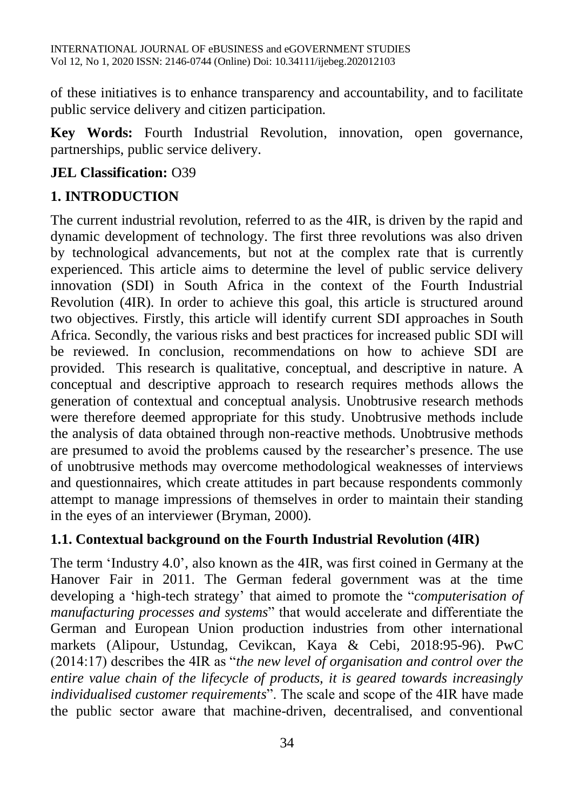of these initiatives is to enhance transparency and accountability, and to facilitate public service delivery and citizen participation.

**Key Words:** Fourth Industrial Revolution, innovation, open governance, partnerships, public service delivery.

### **JEL Classification:** O39

# **1. INTRODUCTION**

The current industrial revolution, referred to as the 4IR, is driven by the rapid and dynamic development of technology. The first three revolutions was also driven by technological advancements, but not at the complex rate that is currently experienced. This article aims to determine the level of public service delivery innovation (SDI) in South Africa in the context of the Fourth Industrial Revolution (4IR). In order to achieve this goal, this article is structured around two objectives. Firstly, this article will identify current SDI approaches in South Africa. Secondly, the various risks and best practices for increased public SDI will be reviewed. In conclusion, recommendations on how to achieve SDI are provided. This research is qualitative, conceptual, and descriptive in nature. A conceptual and descriptive approach to research requires methods allows the generation of contextual and conceptual analysis. Unobtrusive research methods were therefore deemed appropriate for this study. Unobtrusive methods include the analysis of data obtained through non-reactive methods. Unobtrusive methods are presumed to avoid the problems caused by the researcher's presence. The use of unobtrusive methods may overcome methodological weaknesses of interviews and questionnaires, which create attitudes in part because respondents commonly attempt to manage impressions of themselves in order to maintain their standing in the eyes of an interviewer (Bryman, 2000).

## **1.1. Contextual background on the Fourth Industrial Revolution (4IR)**

The term 'Industry 4.0', also known as the 4IR, was first coined in Germany at the Hanover Fair in 2011. The German federal government was at the time developing a 'high-tech strategy' that aimed to promote the "*computerisation of manufacturing processes and systems*" that would accelerate and differentiate the German and European Union production industries from other international markets (Alipour, Ustundag, Cevikcan, Kaya & Cebi, 2018:95-96). PwC (2014:17) describes the 4IR as "*the new level of organisation and control over the entire value chain of the lifecycle of products, it is geared towards increasingly individualised customer requirements*". The scale and scope of the 4IR have made the public sector aware that machine-driven, decentralised, and conventional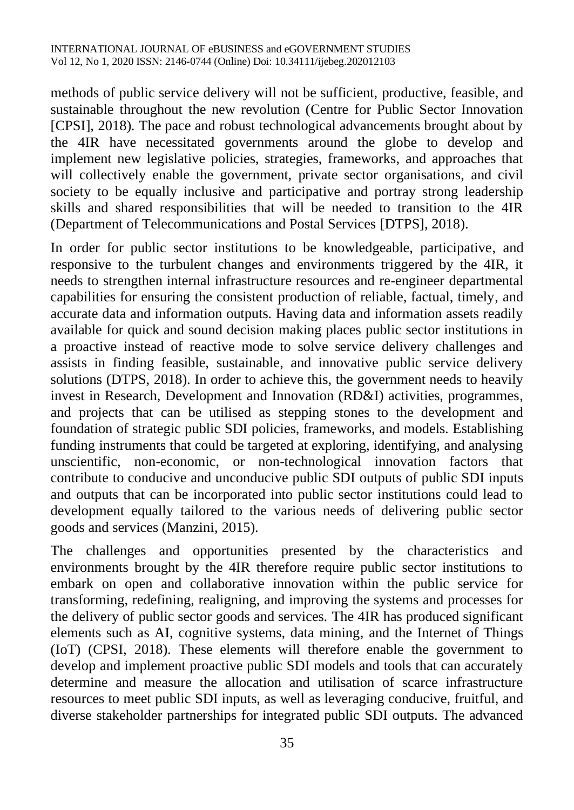methods of public service delivery will not be sufficient, productive, feasible, and sustainable throughout the new revolution (Centre for Public Sector Innovation [CPSI], 2018). The pace and robust technological advancements brought about by the 4IR have necessitated governments around the globe to develop and implement new legislative policies, strategies, frameworks, and approaches that will collectively enable the government, private sector organisations, and civil society to be equally inclusive and participative and portray strong leadership skills and shared responsibilities that will be needed to transition to the 4IR (Department of Telecommunications and Postal Services [DTPS], 2018).

In order for public sector institutions to be knowledgeable, participative, and responsive to the turbulent changes and environments triggered by the 4IR, it needs to strengthen internal infrastructure resources and re-engineer departmental capabilities for ensuring the consistent production of reliable, factual, timely, and accurate data and information outputs. Having data and information assets readily available for quick and sound decision making places public sector institutions in a proactive instead of reactive mode to solve service delivery challenges and assists in finding feasible, sustainable, and innovative public service delivery solutions (DTPS, 2018). In order to achieve this, the government needs to heavily invest in Research, Development and Innovation (RD&I) activities, programmes, and projects that can be utilised as stepping stones to the development and foundation of strategic public SDI policies, frameworks, and models. Establishing funding instruments that could be targeted at exploring, identifying, and analysing unscientific, non-economic, or non-technological innovation factors that contribute to conducive and unconducive public SDI outputs of public SDI inputs and outputs that can be incorporated into public sector institutions could lead to development equally tailored to the various needs of delivering public sector goods and services (Manzini, 2015).

The challenges and opportunities presented by the characteristics and environments brought by the 4IR therefore require public sector institutions to embark on open and collaborative innovation within the public service for transforming, redefining, realigning, and improving the systems and processes for the delivery of public sector goods and services. The 4IR has produced significant elements such as AI, cognitive systems, data mining, and the Internet of Things (IoT) (CPSI, 2018). These elements will therefore enable the government to develop and implement proactive public SDI models and tools that can accurately determine and measure the allocation and utilisation of scarce infrastructure resources to meet public SDI inputs, as well as leveraging conducive, fruitful, and diverse stakeholder partnerships for integrated public SDI outputs. The advanced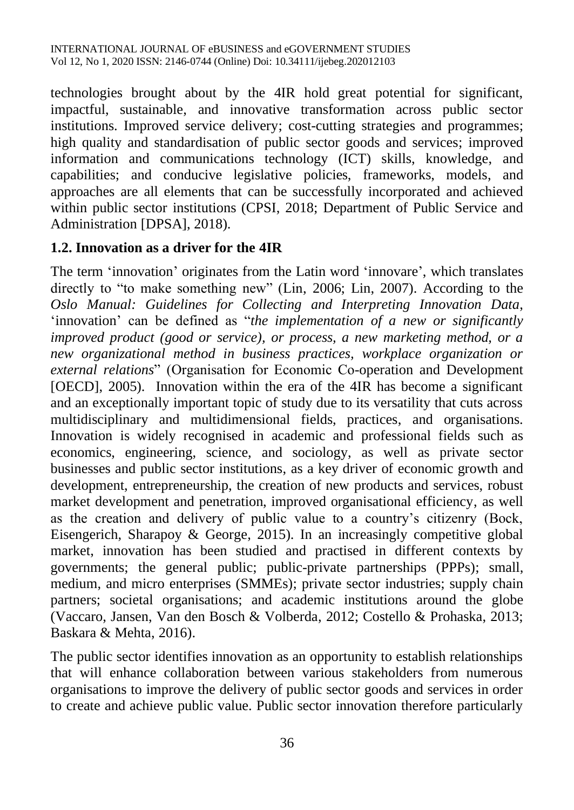technologies brought about by the 4IR hold great potential for significant, impactful, sustainable, and innovative transformation across public sector institutions. Improved service delivery; cost-cutting strategies and programmes; high quality and standardisation of public sector goods and services; improved information and communications technology (ICT) skills, knowledge, and capabilities; and conducive legislative policies, frameworks, models, and approaches are all elements that can be successfully incorporated and achieved within public sector institutions (CPSI, 2018; Department of Public Service and Administration [DPSA], 2018).

#### **1.2. Innovation as a driver for the 4IR**

The term 'innovation' originates from the Latin word 'innovare', which translates directly to "to make something new" (Lin, 2006; Lin, 2007). According to the *Oslo Manual: Guidelines for Collecting and Interpreting Innovation Data*, 'innovation' can be defined as "*the implementation of a new or significantly improved product (good or service), or process, a new marketing method, or a new organizational method in business practices, workplace organization or external relations*" (Organisation for Economic Co-operation and Development [OECD], 2005). Innovation within the era of the 4IR has become a significant and an exceptionally important topic of study due to its versatility that cuts across multidisciplinary and multidimensional fields, practices, and organisations. Innovation is widely recognised in academic and professional fields such as economics, engineering, science, and sociology, as well as private sector businesses and public sector institutions, as a key driver of economic growth and development, entrepreneurship, the creation of new products and services, robust market development and penetration, improved organisational efficiency, as well as the creation and delivery of public value to a country's citizenry (Bock, Eisengerich, Sharapoy & George, 2015). In an increasingly competitive global market, innovation has been studied and practised in different contexts by governments; the general public; public-private partnerships (PPPs); small, medium, and micro enterprises (SMMEs); private sector industries; supply chain partners; societal organisations; and academic institutions around the globe (Vaccaro, Jansen, Van den Bosch & Volberda, 2012; Costello & Prohaska, 2013; Baskara & Mehta, 2016).

The public sector identifies innovation as an opportunity to establish relationships that will enhance collaboration between various stakeholders from numerous organisations to improve the delivery of public sector goods and services in order to create and achieve public value. Public sector innovation therefore particularly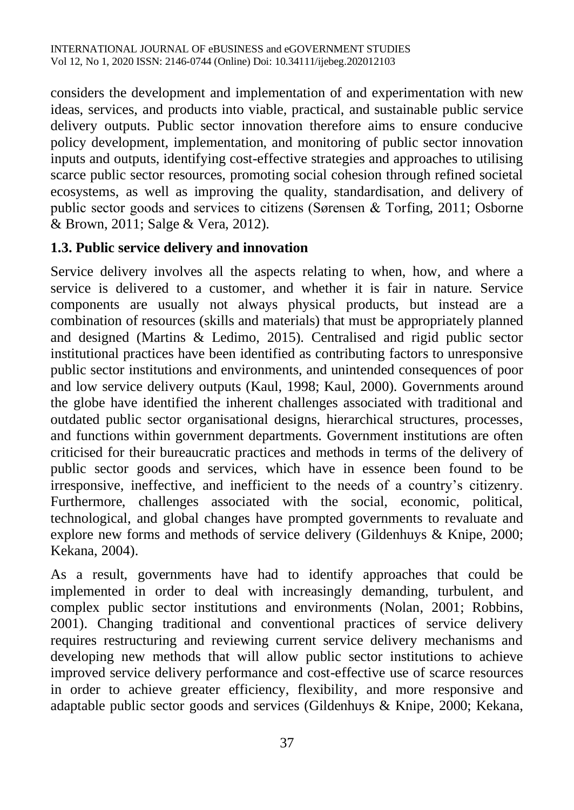considers the development and implementation of and experimentation with new ideas, services, and products into viable, practical, and sustainable public service delivery outputs. Public sector innovation therefore aims to ensure conducive policy development, implementation, and monitoring of public sector innovation inputs and outputs, identifying cost-effective strategies and approaches to utilising scarce public sector resources, promoting social cohesion through refined societal ecosystems, as well as improving the quality, standardisation, and delivery of public sector goods and services to citizens (Sørensen & Torfing, 2011; Osborne & Brown, 2011; Salge & Vera, 2012).

#### **1.3. Public service delivery and innovation**

Service delivery involves all the aspects relating to when, how, and where a service is delivered to a customer, and whether it is fair in nature. Service components are usually not always physical products, but instead are a combination of resources (skills and materials) that must be appropriately planned and designed (Martins & Ledimo, 2015). Centralised and rigid public sector institutional practices have been identified as contributing factors to unresponsive public sector institutions and environments, and unintended consequences of poor and low service delivery outputs (Kaul, 1998; Kaul, 2000). Governments around the globe have identified the inherent challenges associated with traditional and outdated public sector organisational designs, hierarchical structures, processes, and functions within government departments. Government institutions are often criticised for their bureaucratic practices and methods in terms of the delivery of public sector goods and services, which have in essence been found to be irresponsive, ineffective, and inefficient to the needs of a country's citizenry. Furthermore, challenges associated with the social, economic, political, technological, and global changes have prompted governments to revaluate and explore new forms and methods of service delivery (Gildenhuys & Knipe, 2000; Kekana, 2004).

As a result, governments have had to identify approaches that could be implemented in order to deal with increasingly demanding, turbulent, and complex public sector institutions and environments (Nolan, 2001; Robbins, 2001). Changing traditional and conventional practices of service delivery requires restructuring and reviewing current service delivery mechanisms and developing new methods that will allow public sector institutions to achieve improved service delivery performance and cost-effective use of scarce resources in order to achieve greater efficiency, flexibility, and more responsive and adaptable public sector goods and services (Gildenhuys & Knipe, 2000; Kekana,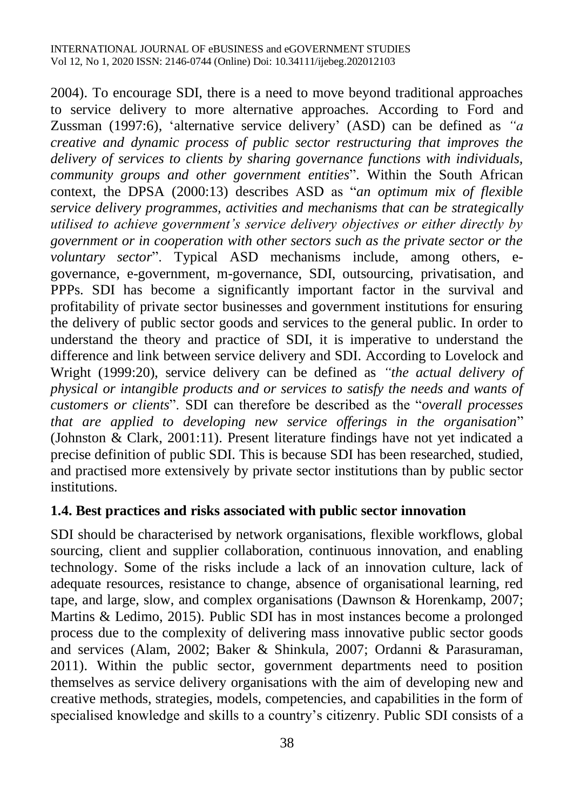2004). To encourage SDI, there is a need to move beyond traditional approaches to service delivery to more alternative approaches. According to Ford and Zussman (1997:6), 'alternative service delivery' (ASD) can be defined as *"a creative and dynamic process of public sector restructuring that improves the delivery of services to clients by sharing governance functions with individuals, community groups and other government entities*". Within the South African context, the DPSA (2000:13) describes ASD as "*an optimum mix of flexible service delivery programmes, activities and mechanisms that can be strategically utilised to achieve government's service delivery objectives or either directly by government or in cooperation with other sectors such as the private sector or the voluntary sector*". Typical ASD mechanisms include, among others, egovernance, e-government, m-governance, SDI, outsourcing, privatisation, and PPPs. SDI has become a significantly important factor in the survival and profitability of private sector businesses and government institutions for ensuring the delivery of public sector goods and services to the general public. In order to understand the theory and practice of SDI, it is imperative to understand the difference and link between service delivery and SDI. According to Lovelock and Wright (1999:20), service delivery can be defined as *"the actual delivery of physical or intangible products and or services to satisfy the needs and wants of customers or clients*". SDI can therefore be described as the "*overall processes that are applied to developing new service offerings in the organisation*" (Johnston & Clark, 2001:11). Present literature findings have not yet indicated a precise definition of public SDI. This is because SDI has been researched, studied, and practised more extensively by private sector institutions than by public sector institutions.

#### **1.4. Best practices and risks associated with public sector innovation**

SDI should be characterised by network organisations, flexible workflows, global sourcing, client and supplier collaboration, continuous innovation, and enabling technology. Some of the risks include a lack of an innovation culture, lack of adequate resources, resistance to change, absence of organisational learning, red tape, and large, slow, and complex organisations (Dawnson & Horenkamp, 2007; Martins & Ledimo, 2015). Public SDI has in most instances become a prolonged process due to the complexity of delivering mass innovative public sector goods and services (Alam, 2002; Baker & Shinkula, 2007; Ordanni & Parasuraman, 2011). Within the public sector, government departments need to position themselves as service delivery organisations with the aim of developing new and creative methods, strategies, models, competencies, and capabilities in the form of specialised knowledge and skills to a country's citizenry. Public SDI consists of a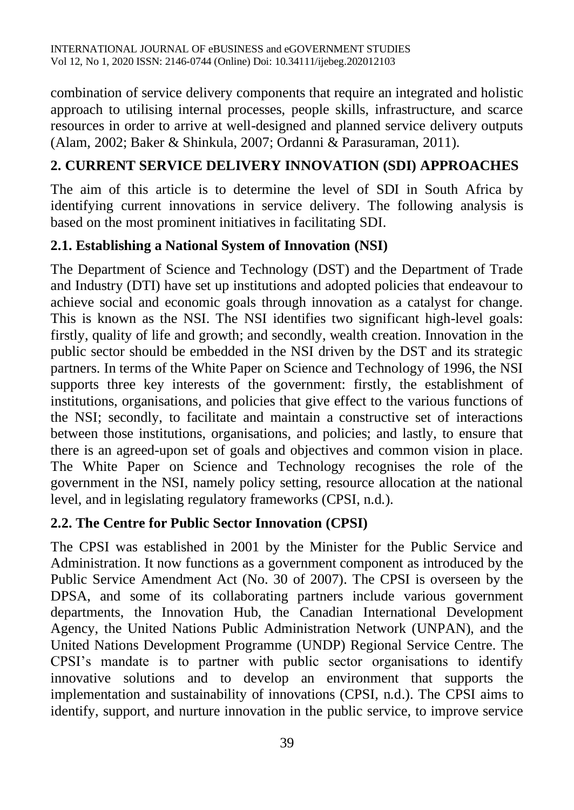combination of service delivery components that require an integrated and holistic approach to utilising internal processes, people skills, infrastructure, and scarce resources in order to arrive at well-designed and planned service delivery outputs (Alam, 2002; Baker & Shinkula, 2007; Ordanni & Parasuraman, 2011).

# **2. CURRENT SERVICE DELIVERY INNOVATION (SDI) APPROACHES**

The aim of this article is to determine the level of SDI in South Africa by identifying current innovations in service delivery. The following analysis is based on the most prominent initiatives in facilitating SDI.

## **2.1. Establishing a National System of Innovation (NSI)**

The Department of Science and Technology (DST) and the Department of Trade and Industry (DTI) have set up institutions and adopted policies that endeavour to achieve social and economic goals through innovation as a catalyst for change. This is known as the NSI. The NSI identifies two significant high-level goals: firstly, quality of life and growth; and secondly, wealth creation. Innovation in the public sector should be embedded in the NSI driven by the DST and its strategic partners. In terms of the White Paper on Science and Technology of 1996, the NSI supports three key interests of the government: firstly, the establishment of institutions, organisations, and policies that give effect to the various functions of the NSI; secondly, to facilitate and maintain a constructive set of interactions between those institutions, organisations, and policies; and lastly, to ensure that there is an agreed-upon set of goals and objectives and common vision in place. The White Paper on Science and Technology recognises the role of the government in the NSI, namely policy setting, resource allocation at the national level, and in legislating regulatory frameworks (CPSI, n.d.).

## **2.2. The Centre for Public Sector Innovation (CPSI)**

The CPSI was established in 2001 by the Minister for the Public Service and Administration. It now functions as a government component as introduced by the Public Service Amendment Act (No. 30 of 2007). The CPSI is overseen by the DPSA, and some of its collaborating partners include various government departments, the Innovation Hub, the Canadian International Development Agency, the United Nations Public Administration Network (UNPAN), and the United Nations Development Programme (UNDP) Regional Service Centre. The CPSI's mandate is to partner with public sector organisations to identify innovative solutions and to develop an environment that supports the implementation and sustainability of innovations (CPSI, n.d.). The CPSI aims to identify, support, and nurture innovation in the public service, to improve service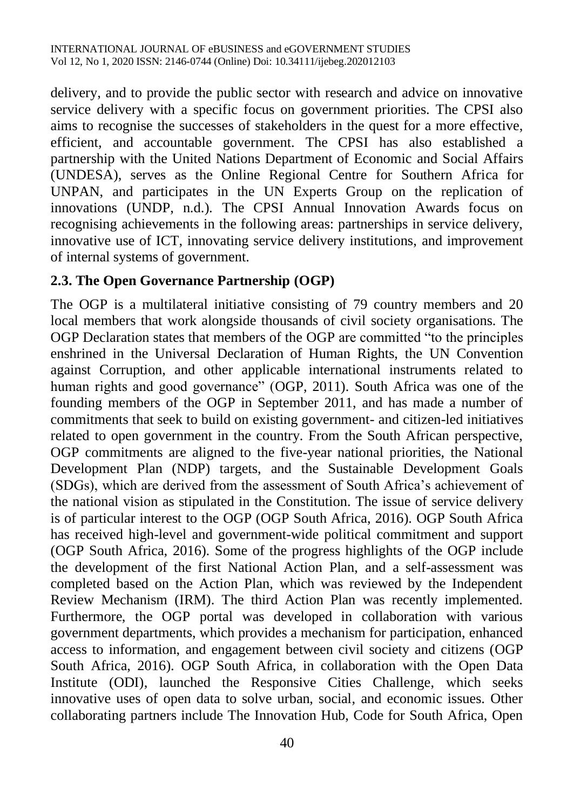delivery, and to provide the public sector with research and advice on innovative service delivery with a specific focus on government priorities. The CPSI also aims to recognise the successes of stakeholders in the quest for a more effective, efficient, and accountable government. The CPSI has also established a partnership with the United Nations Department of Economic and Social Affairs (UNDESA), serves as the Online Regional Centre for Southern Africa for UNPAN, and participates in the UN Experts Group on the replication of innovations (UNDP, n.d.). The CPSI Annual Innovation Awards focus on recognising achievements in the following areas: partnerships in service delivery, innovative use of ICT, innovating service delivery institutions, and improvement of internal systems of government.

#### **2.3. The Open Governance Partnership (OGP)**

The OGP is a multilateral initiative consisting of 79 country members and 20 local members that work alongside thousands of civil society organisations. The OGP Declaration states that members of the OGP are committed "to the principles enshrined in the Universal Declaration of Human Rights, the UN Convention against Corruption, and other applicable international instruments related to human rights and good governance" (OGP, 2011). South Africa was one of the founding members of the OGP in September 2011, and has made a number of commitments that seek to build on existing government- and citizen-led initiatives related to open government in the country. From the South African perspective, OGP commitments are aligned to the five-year national priorities, the National Development Plan (NDP) targets, and the Sustainable Development Goals (SDGs), which are derived from the assessment of South Africa's achievement of the national vision as stipulated in the Constitution. The issue of service delivery is of particular interest to the OGP (OGP South Africa, 2016). OGP South Africa has received high-level and government-wide political commitment and support (OGP South Africa, 2016). Some of the progress highlights of the OGP include the development of the first National Action Plan, and a self-assessment was completed based on the Action Plan, which was reviewed by the Independent Review Mechanism (IRM). The third Action Plan was recently implemented. Furthermore, the OGP portal was developed in collaboration with various government departments, which provides a mechanism for participation, enhanced access to information, and engagement between civil society and citizens (OGP South Africa, 2016). OGP South Africa, in collaboration with the Open Data Institute (ODI), launched the Responsive Cities Challenge, which seeks innovative uses of open data to solve urban, social, and economic issues. Other collaborating partners include The Innovation Hub, Code for South Africa, Open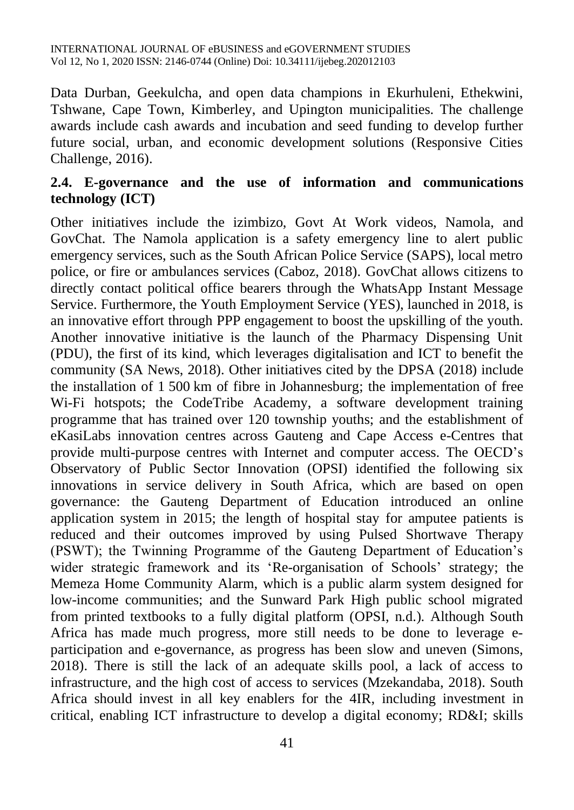Data Durban, Geekulcha, and open data champions in Ekurhuleni, Ethekwini, Tshwane, Cape Town, Kimberley, and Upington municipalities. The challenge awards include cash awards and incubation and seed funding to develop further future social, urban, and economic development solutions (Responsive Cities Challenge, 2016).

### **2.4. E-governance and the use of information and communications technology (ICT)**

Other initiatives include the izimbizo, Govt At Work videos, Namola, and GovChat. The Namola application is a safety emergency line to alert public emergency services, such as the South African Police Service (SAPS), local metro police, or fire or ambulances services (Caboz, 2018). GovChat allows citizens to directly contact political office bearers through the WhatsApp Instant Message Service. Furthermore, the Youth Employment Service (YES), launched in 2018, is an innovative effort through PPP engagement to boost the upskilling of the youth. Another innovative initiative is the launch of the Pharmacy Dispensing Unit (PDU), the first of its kind, which leverages digitalisation and ICT to benefit the community (SA News, 2018). Other initiatives cited by the DPSA (2018) include the installation of 1 500 km of fibre in Johannesburg; the implementation of free Wi-Fi hotspots; the CodeTribe Academy, a software development training programme that has trained over 120 township youths; and the establishment of eKasiLabs innovation centres across Gauteng and Cape Access e-Centres that provide multi-purpose centres with Internet and computer access. The OECD's Observatory of Public Sector Innovation (OPSI) identified the following six innovations in service delivery in South Africa, which are based on open governance: the Gauteng Department of Education introduced an online application system in 2015; the length of hospital stay for amputee patients is reduced and their outcomes improved by using Pulsed Shortwave Therapy (PSWT); the Twinning Programme of the Gauteng Department of Education's wider strategic framework and its 'Re-organisation of Schools' strategy; the Memeza Home Community Alarm, which is a public alarm system designed for low-income communities; and the Sunward Park High public school migrated from printed textbooks to a fully digital platform (OPSI, n.d.). Although South Africa has made much progress, more still needs to be done to leverage eparticipation and e-governance, as progress has been slow and uneven (Simons, 2018). There is still the lack of an adequate skills pool, a lack of access to infrastructure, and the high cost of access to services (Mzekandaba, 2018). South Africa should invest in all key enablers for the 4IR, including investment in critical, enabling ICT infrastructure to develop a digital economy; RD&I; skills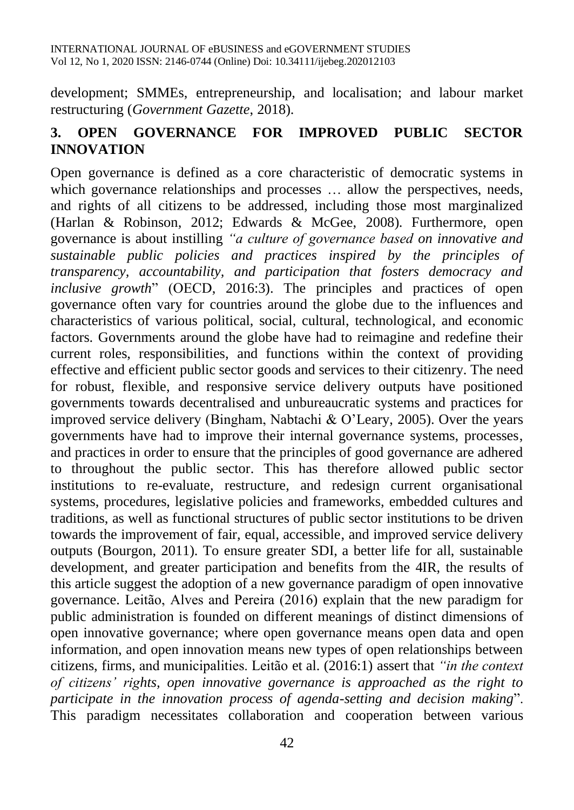development; SMMEs, entrepreneurship, and localisation; and labour market restructuring (*Government Gazette*, 2018).

### **3. OPEN GOVERNANCE FOR IMPROVED PUBLIC SECTOR INNOVATION**

Open governance is defined as a core characteristic of democratic systems in which governance relationships and processes ... allow the perspectives, needs, and rights of all citizens to be addressed, including those most marginalized (Harlan & Robinson, 2012; Edwards & McGee, 2008). Furthermore, open governance is about instilling *"a culture of governance based on innovative and sustainable public policies and practices inspired by the principles of transparency, accountability, and participation that fosters democracy and inclusive growth*" (OECD, 2016:3). The principles and practices of open governance often vary for countries around the globe due to the influences and characteristics of various political, social, cultural, technological, and economic factors. Governments around the globe have had to reimagine and redefine their current roles, responsibilities, and functions within the context of providing effective and efficient public sector goods and services to their citizenry. The need for robust, flexible, and responsive service delivery outputs have positioned governments towards decentralised and unbureaucratic systems and practices for improved service delivery (Bingham, Nabtachi & O'Leary, 2005). Over the years governments have had to improve their internal governance systems, processes, and practices in order to ensure that the principles of good governance are adhered to throughout the public sector. This has therefore allowed public sector institutions to re-evaluate, restructure, and redesign current organisational systems, procedures, legislative policies and frameworks, embedded cultures and traditions, as well as functional structures of public sector institutions to be driven towards the improvement of fair, equal, accessible, and improved service delivery outputs (Bourgon, 2011). To ensure greater SDI, a better life for all, sustainable development, and greater participation and benefits from the 4IR, the results of this article suggest the adoption of a new governance paradigm of open innovative governance. Leitão, Alves and Pereira (2016) explain that the new paradigm for public administration is founded on different meanings of distinct dimensions of open innovative governance; where open governance means open data and open information, and open innovation means new types of open relationships between citizens, firms, and municipalities. Leitão et al. (2016:1) assert that *"in the context of citizens' rights, open innovative governance is approached as the right to participate in the innovation process of agenda-setting and decision making*". This paradigm necessitates collaboration and cooperation between various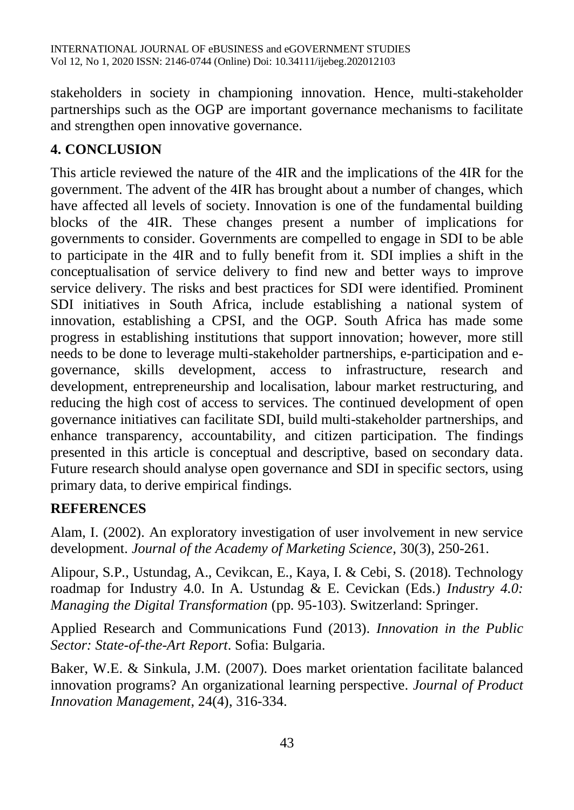stakeholders in society in championing innovation. Hence, multi-stakeholder partnerships such as the OGP are important governance mechanisms to facilitate and strengthen open innovative governance.

# **4. CONCLUSION**

This article reviewed the nature of the 4IR and the implications of the 4IR for the government. The advent of the 4IR has brought about a number of changes, which have affected all levels of society. Innovation is one of the fundamental building blocks of the 4IR. These changes present a number of implications for governments to consider. Governments are compelled to engage in SDI to be able to participate in the 4IR and to fully benefit from it. SDI implies a shift in the conceptualisation of service delivery to find new and better ways to improve service delivery. The risks and best practices for SDI were identified. Prominent SDI initiatives in South Africa, include establishing a national system of innovation, establishing a CPSI, and the OGP. South Africa has made some progress in establishing institutions that support innovation; however, more still needs to be done to leverage multi-stakeholder partnerships, e-participation and egovernance, skills development, access to infrastructure, research and development, entrepreneurship and localisation, labour market restructuring, and reducing the high cost of access to services. The continued development of open governance initiatives can facilitate SDI, build multi-stakeholder partnerships, and enhance transparency, accountability, and citizen participation. The findings presented in this article is conceptual and descriptive, based on secondary data. Future research should analyse open governance and SDI in specific sectors, using primary data, to derive empirical findings.

## **REFERENCES**

Alam, I. (2002). An exploratory investigation of user involvement in new service development. *Journal of the Academy of Marketing Science*, 30(3), 250-261.

Alipour, S.P., Ustundag, A., Cevikcan, E., Kaya, I. & Cebi, S. (2018)*.* Technology roadmap for Industry 4.0. In A. Ustundag & E. Cevickan (Eds.) *Industry 4.0: Managing the Digital Transformation* (pp. 95-103). Switzerland: Springer.

Applied Research and Communications Fund (2013). *Innovation in the Public Sector: State-of-the-Art Report*. Sofia: Bulgaria.

Baker, W.E. & Sinkula, J.M. (2007). Does market orientation facilitate balanced innovation programs? An organizational learning perspective. *Journal of Product Innovation Management*, 24(4), 316-334.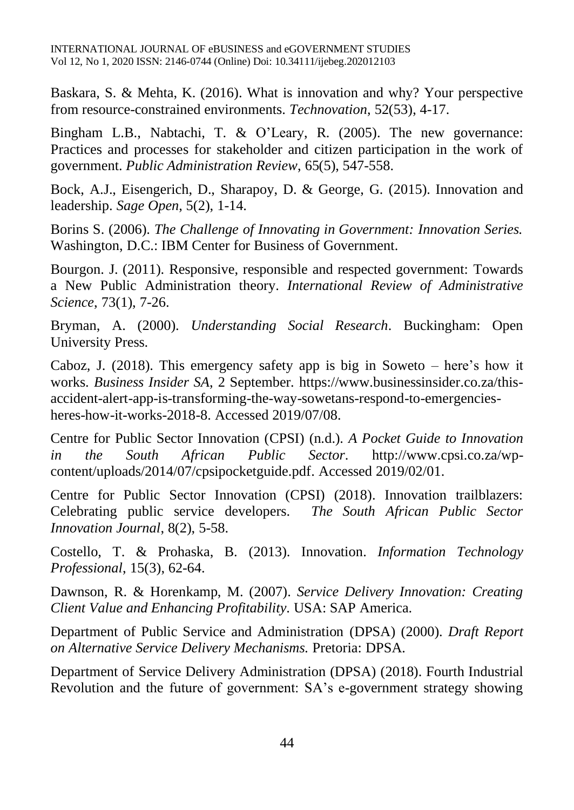Baskara, S. & Mehta, K. (2016). What is innovation and why? Your perspective from resource-constrained environments. *Technovation*, 52(53), 4-17.

Bingham L.B., Nabtachi, T. & O'Leary, R. (2005). The new governance: Practices and processes for stakeholder and citizen participation in the work of government. *Public Administration Review*, 65(5), 547-558.

Bock, A.J., Eisengerich, D., Sharapoy, D. & George, G. (2015). Innovation and leadership. *Sage Open*, 5(2), 1-14.

Borins S. (2006). *The Challenge of Innovating in Government: Innovation Series.* Washington, D.C.: IBM Center for Business of Government.

Bourgon. J. (2011). Responsive, responsible and respected government: Towards a New Public Administration theory. *International Review of Administrative Science*, 73(1), 7-26.

Bryman, A. (2000). *Understanding Social Research*. Buckingham: Open University Press.

Caboz, J. (2018). This emergency safety app is big in Soweto – here's how it works. *Business Insider SA*, 2 September. [https://www.businessinsider.co.za/this](https://www.businessinsider.co.za/this-accident-alert-app-is-transforming-the-way-sowetans-respond-to-emergencies-heres-how-it-works-2018-8)[accident-alert-app-is-transforming-the-way-sowetans-respond-to-emergencies](https://www.businessinsider.co.za/this-accident-alert-app-is-transforming-the-way-sowetans-respond-to-emergencies-heres-how-it-works-2018-8)[heres-how-it-works-2018-8.](https://www.businessinsider.co.za/this-accident-alert-app-is-transforming-the-way-sowetans-respond-to-emergencies-heres-how-it-works-2018-8) Accessed 2019/07/08.

Centre for Public Sector Innovation (CPSI) (n.d.). *A Pocket Guide to Innovation in the South African Public Sector*. [http://www.cpsi.co.za/wp](http://www.cpsi.co.za/wp-content/uploads/2014/07/cpsipocketguide.pdf)[content/uploads/2014/07/cpsipocketguide.pdf.](http://www.cpsi.co.za/wp-content/uploads/2014/07/cpsipocketguide.pdf) Accessed 2019/02/01.

Centre for Public Sector Innovation (CPSI) (2018). Innovation trailblazers: Celebrating public service developers. *The South African Public Sector Innovation Journal*, 8(2), 5-58.

Costello, T. & Prohaska, B. (2013). Innovation. *Information Technology Professional*, 15(3), 62-64.

Dawnson, R. & Horenkamp, M. (2007). *Service Delivery Innovation: Creating Client Value and Enhancing Profitability*. USA: SAP America.

Department of Public Service and Administration (DPSA) (2000). *Draft Report on Alternative Service Delivery Mechanisms.* Pretoria: DPSA.

Department of Service Delivery Administration (DPSA) (2018). Fourth Industrial Revolution and the future of government: SA's e-government strategy showing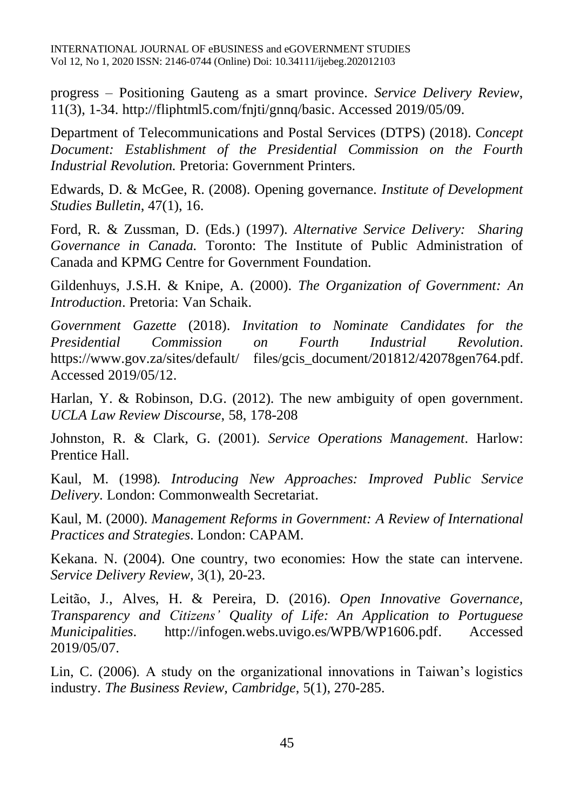progress – Positioning Gauteng as a smart province. *Service Delivery Review*, 11(3), 1-34. [http://fliphtml5.com/fnjti/gnnq/basic.](http://fliphtml5.com/fnjti/gnnq/basic) Accessed 2019/05/09.

Department of Telecommunications and Postal Services (DTPS) (2018). C*oncept Document: Establishment of the Presidential Commission on the Fourth Industrial Revolution.* Pretoria: Government Printers.

Edwards, D. & McGee, R. (2008). Opening governance. *Institute of Development Studies Bulletin*, 47(1), 16.

Ford, R. & Zussman, D. (Eds.) (1997). *Alternative Service Delivery: Sharing Governance in Canada.* Toronto: The Institute of Public Administration of Canada and KPMG Centre for Government Foundation.

Gildenhuys, J.S.H. & Knipe, A. (2000). *The Organization of Government: An Introduction*. Pretoria: Van Schaik.

*Government Gazette* (2018). *Invitation to Nominate Candidates for the Presidential Commission on Fourth Industrial Revolution*. https://www.gov.za/sites/default/ files/gcis document/201812/42078gen764.pdf. Accessed 2019/05/12.

Harlan, Y. & Robinson, D.G. (2012). The new ambiguity of open government. *UCLA Law Review Discourse*, 58, 178-208

Johnston, R. & Clark, G. (2001). *Service Operations Management*. Harlow: Prentice Hall.

Kaul, M. (1998)*. Introducing New Approaches: Improved Public Service Delivery*. London: Commonwealth Secretariat.

Kaul, M. (2000). *Management Reforms in Government: A Review of International Practices and Strategies*. London: CAPAM.

Kekana. N. (2004). One country, two economies: How the state can intervene. *Service Delivery Review*, 3(1), 20-23.

Leitão, J., Alves, H. & Pereira, D. (2016). *Open Innovative Governance, Transparency and Citizens' Quality of Life: An Application to Portuguese Municipalities*. [http://infogen.webs.uvigo.es/WPB/WP1606.pdf.](http://infogen.webs.uvigo.es/WPB/WP1606.pdf) Accessed 2019/05/07.

Lin, C. (2006). A study on the organizational innovations in Taiwan's logistics industry. *The Business Review, Cambridge*, 5(1), 270-285.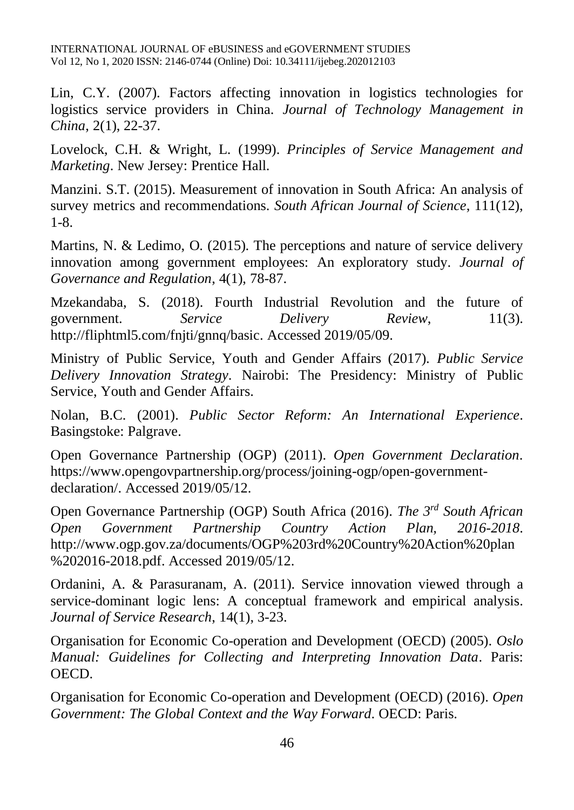INTERNATIONAL JOURNAL OF eBUSINESS and eGOVERNMENT STUDIES Vol 12, No 1, 2020 ISSN: 2146-0744 (Online) Doi: 10.34111/ijebeg.202012103

Lin, C.Y. (2007). Factors affecting innovation in logistics technologies for logistics service providers in China. *Journal of Technology Management in China*, 2(1), 22-37.

Lovelock, C.H. & Wright, L. (1999). *Principles of Service Management and Marketing*. New Jersey: Prentice Hall.

Manzini. S.T. (2015). Measurement of innovation in South Africa: An analysis of survey metrics and recommendations. *South African Journal of Science*, 111(12), 1-8.

Martins, N. & Ledimo, O. (2015). The perceptions and nature of service delivery innovation among government employees: An exploratory study. *Journal of Governance and Regulation*, 4(1), 78-87.

Mzekandaba, S. (2018). Fourth Industrial Revolution and the future of government. *Service Delivery Review*, 11(3). [http://fliphtml5.com/fnjti/gnnq/basic.](http://fliphtml5.com/fnjti/gnnq/basic) Accessed 2019/05/09.

Ministry of Public Service, Youth and Gender Affairs (2017). *Public Service Delivery Innovation Strategy*. Nairobi: The Presidency: Ministry of Public Service, Youth and Gender Affairs.

Nolan, B.C. (2001). *Public Sector Reform: An International Experience*. Basingstoke: Palgrave.

Open Governance Partnership (OGP) (2011). *Open Government Declaration*. [https://www.opengovpartnership.org/process/joining-ogp/open-government](https://www.opengovpartnership.org/process/joining-ogp/open-government-declaration/)[declaration/.](https://www.opengovpartnership.org/process/joining-ogp/open-government-declaration/) Accessed 2019/05/12.

Open Governance Partnership (OGP) South Africa (2016). *The 3rd South African Open Government Partnership Country Action Plan, 2016-2018*. [http://www.ogp.gov.za/documents/OGP%203rd%20Country%20Action%20plan](http://www.ogp.gov.za/documents/OGP%203rd%20Country%20Action%20plan%202016-2018.pdf) [%202016-2018.pdf.](http://www.ogp.gov.za/documents/OGP%203rd%20Country%20Action%20plan%202016-2018.pdf) Accessed 2019/05/12.

Ordanini, A. & Parasuranam, A. (2011). Service innovation viewed through a service-dominant logic lens: A conceptual framework and empirical analysis. *Journal of Service Research*, 14(1), 3-23.

Organisation for Economic Co-operation and Development (OECD) (2005). *Oslo Manual: Guidelines for Collecting and Interpreting Innovation Data*. Paris: OECD.

Organisation for Economic Co-operation and Development (OECD) (2016). *Open Government: The Global Context and the Way Forward*. OECD: Paris.